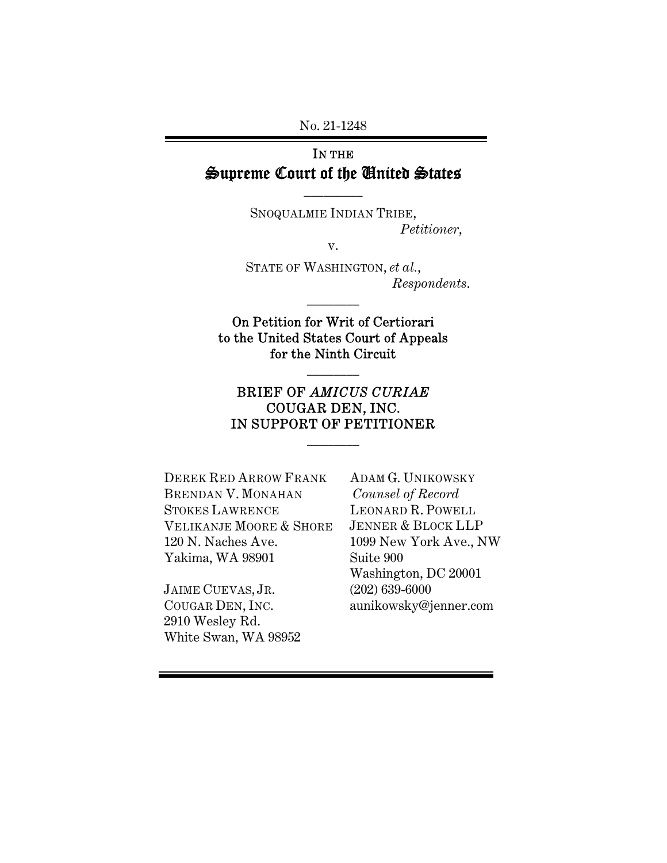No. 21-1248

# IN THE Supreme Court of the United States

 $\overline{\phantom{a}}$  . The set of  $\overline{\phantom{a}}$ 

SNOQUALMIE INDIAN TRIBE, *Petitioner*,

v.

STATE OF WASHINGTON, *et al.*, *Respondents*.

On Petition for Writ of Certiorari to the United States Court of Appeals for the Ninth Circuit

 $\frac{1}{2}$ 

 $\frac{1}{2}$ 

## BRIEF OF *AMICUS CURIAE* COUGAR DEN, INC. IN SUPPORT OF PETITIONER

 $\frac{1}{2}$ 

DEREK RED ARROW FRANK BRENDAN V. MONAHAN STOKES LAWRENCE VELIKANJE MOORE & SHORE 120 N. Naches Ave. Yakima, WA 98901

JAIME CUEVAS, JR. COUGAR DEN, INC. 2910 Wesley Rd. White Swan, WA 98952

ADAM G. UNIKOWSKY *Counsel of Record*  LEONARD R. POWELL JENNER & BLOCK LLP 1099 New York Ave., NW Suite 900 Washington, DC 20001 (202) 639-6000 aunikowsky@jenner.com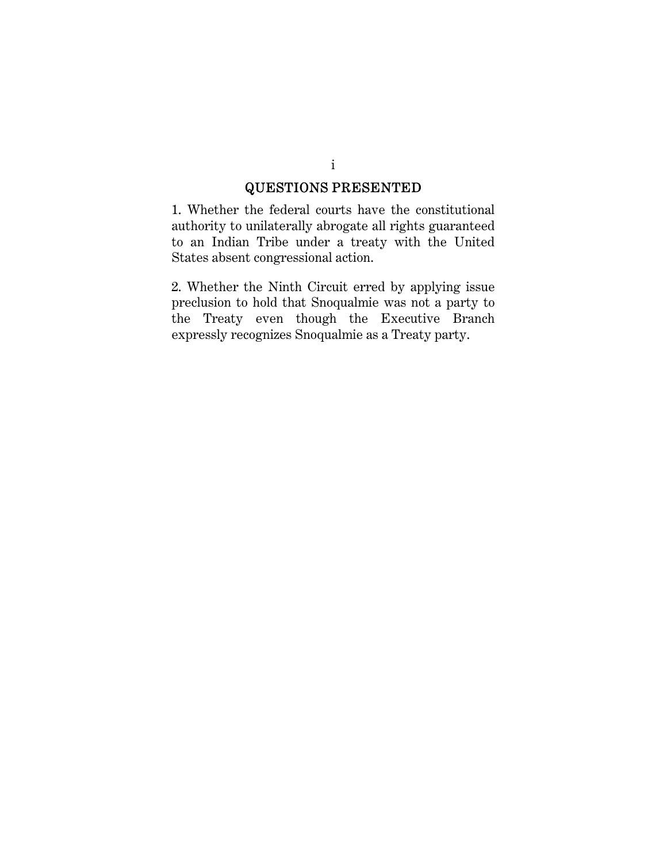# QUESTIONS PRESENTED

1. Whether the federal courts have the constitutional authority to unilaterally abrogate all rights guaranteed to an Indian Tribe under a treaty with the United States absent congressional action.

2. Whether the Ninth Circuit erred by applying issue preclusion to hold that Snoqualmie was not a party to the Treaty even though the Executive Branch expressly recognizes Snoqualmie as a Treaty party.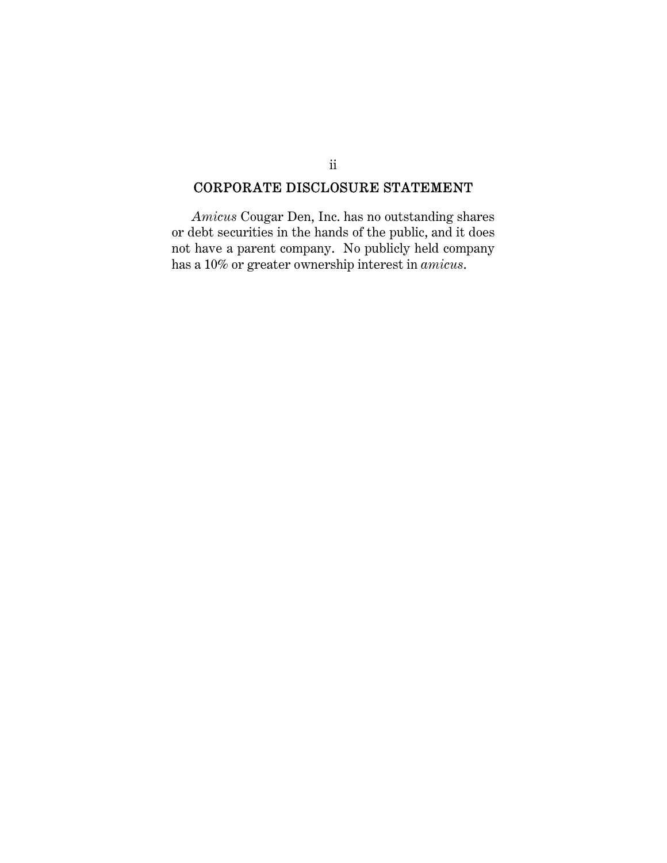## CORPORATE DISCLOSURE STATEMENT

ii

*Amicus* Cougar Den, Inc. has no outstanding shares or debt securities in the hands of the public, and it does not have a parent company. No publicly held company has a 10% or greater ownership interest in *amicus*.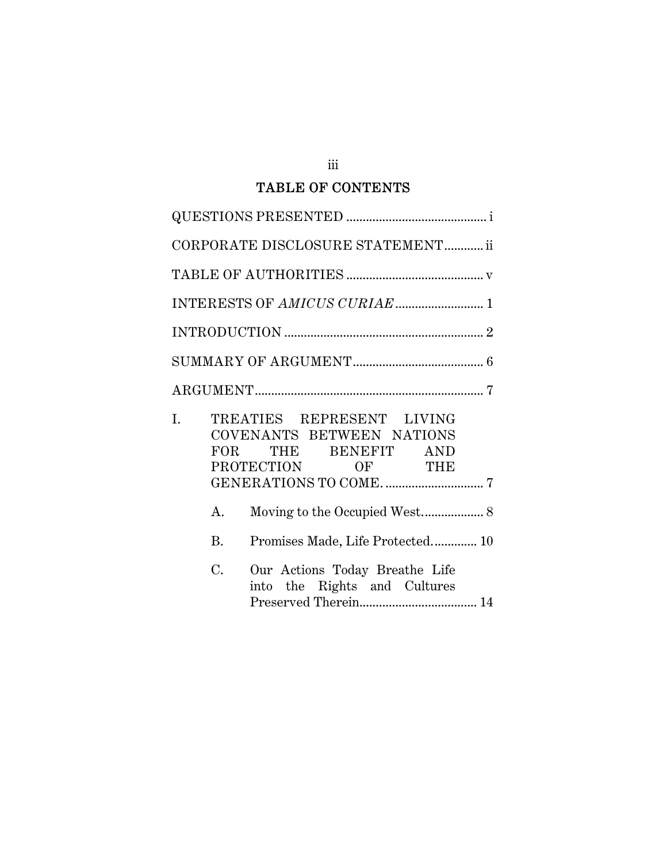# TABLE OF CONTENTS

|           | CORPORATE DISCLOSURE STATEMENT ii                                                                  |
|-----------|----------------------------------------------------------------------------------------------------|
|           |                                                                                                    |
|           |                                                                                                    |
|           |                                                                                                    |
|           |                                                                                                    |
|           |                                                                                                    |
| I.        | TREATIES REPRESENT LIVING<br>COVENANTS BETWEEN NATIONS<br>FOR THE BENEFIT AND<br>PROTECTION OF THE |
| A.        |                                                                                                    |
| <b>B.</b> | Promises Made, Life Protected 10                                                                   |
| C.        | Our Actions Today Breathe Life<br>into the Rights and Cultures                                     |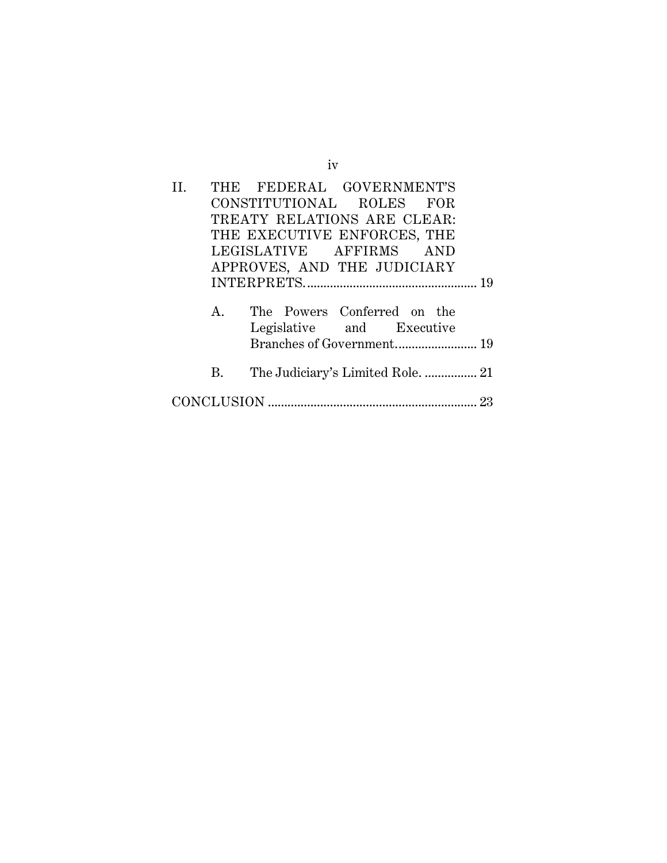| Н. |         | THE FEDERAL GOVERNMENT'S                                                              |
|----|---------|---------------------------------------------------------------------------------------|
|    |         | CONSTITUTIONAL ROLES FOR                                                              |
|    |         | TREATY RELATIONS ARE CLEAR:                                                           |
|    |         | THE EXECUTIVE ENFORCES, THE                                                           |
|    |         | LEGISLATIVE AFFIRMS AND                                                               |
|    |         | APPROVES, AND THE JUDICIARY                                                           |
|    |         |                                                                                       |
|    | $A_{-}$ | The Powers Conferred on the<br>Legislative and Executive<br>Branches of Government 19 |
|    | B.      |                                                                                       |
|    |         |                                                                                       |

iv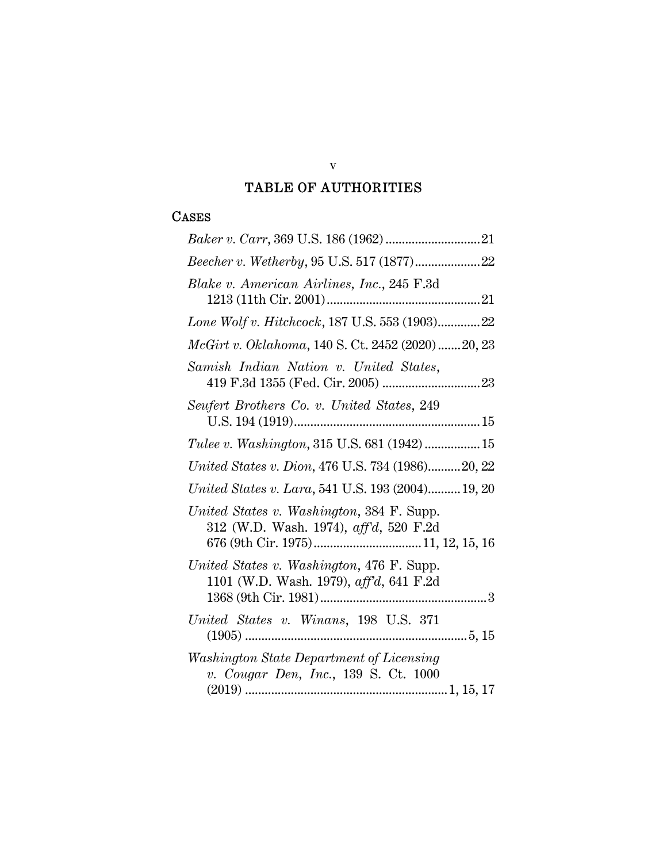# TABLE OF AUTHORITIES

#### CASES

| Beecher v. Wetherby, 95 U.S. 517 (1877)22                                            |
|--------------------------------------------------------------------------------------|
| Blake v. American Airlines, Inc., 245 F.3d                                           |
| Lone Wolf v. Hitchcock, 187 U.S. 553 (1903)22                                        |
| McGirt v. Oklahoma, 140 S. Ct. 2452 (2020)20, 23                                     |
| Samish Indian Nation v. United States,                                               |
| Seufert Brothers Co. v. United States, 249                                           |
| Tulee v. Washington, 315 U.S. 681 (1942)  15                                         |
| United States v. Dion, 476 U.S. 734 (1986)20, 22                                     |
| United States v. Lara, 541 U.S. 193 (2004) 19, 20                                    |
| United States v. Washington, 384 F. Supp.<br>312 (W.D. Wash. 1974), aff'd, 520 F.2d  |
| United States v. Washington, 476 F. Supp.<br>1101 (W.D. Wash. 1979), aff'd, 641 F.2d |
| United States v. Winans, 198 U.S. 371                                                |
| Washington State Department of Licensing<br>v. Cougar Den, Inc., 139 S. Ct. 1000     |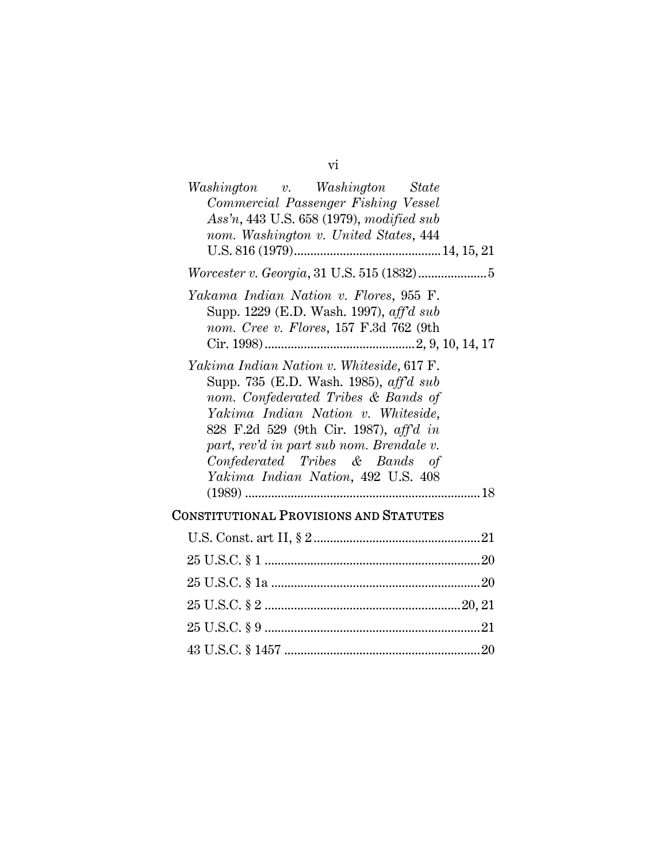| Washington v. Washington State                   |
|--------------------------------------------------|
| Commercial Passenger Fishing Vessel              |
| Ass'n, 443 U.S. 658 (1979), modified sub         |
| nom. Washington v. United States, 444            |
|                                                  |
|                                                  |
| Yakama Indian Nation v. Flores, 955 F.           |
| Supp. 1229 (E.D. Wash. 1997), aff'd sub          |
| nom. Cree v. Flores, 157 F.3d 762 (9th           |
|                                                  |
| Yakima Indian Nation v. Whiteside, 617 F.        |
| Supp. 735 (E.D. Wash. 1985), $\alpha f d \, sub$ |
| nom. Confederated Tribes & Bands of              |
| Yakima Indian Nation v. Whiteside,               |
| 828 F.2d 529 (9th Cir. 1987), aff'd in           |
| part, rev'd in part sub nom. Brendale v.         |
| Confederated Tribes & Bands of                   |
| Yakima Indian Nation, 492 U.S. 408               |
| 18                                               |

# CONSTITUTIONAL PROVISIONS AND STATUTES

vi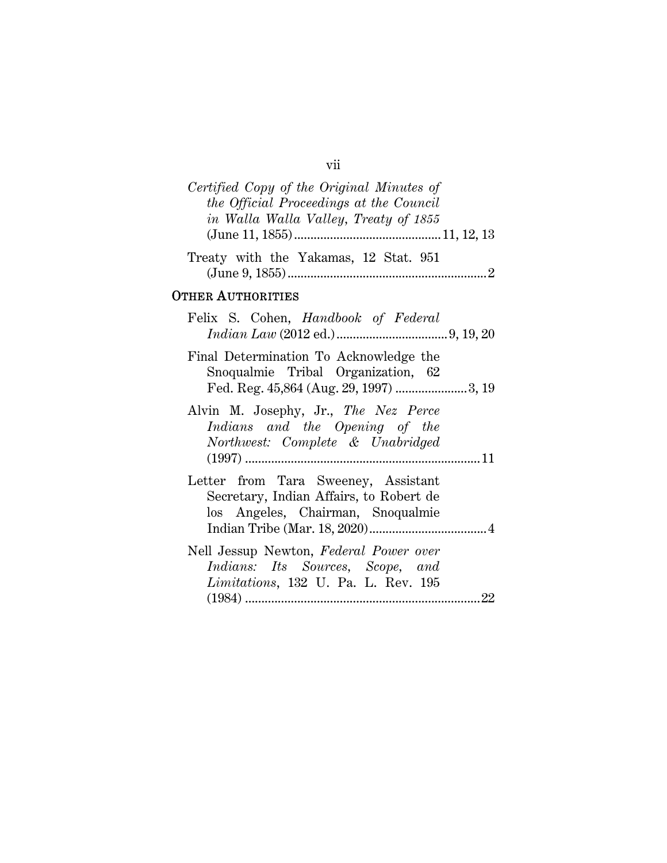# vii

| Certified Copy of the Original Minutes of<br>the Official Proceedings at the Council<br>in Walla Walla Valley, Treaty of 1855    |
|----------------------------------------------------------------------------------------------------------------------------------|
| Treaty with the Yakamas, 12 Stat. 951                                                                                            |
| OTHER AUTHORITIES                                                                                                                |
| Felix S. Cohen, Handbook of Federal                                                                                              |
| Final Determination To Acknowledge the<br>Snoqualmie Tribal Organization, 62<br>Fed. Reg. 45,864 (Aug. 29, 1997) 3, 19           |
| Alvin M. Josephy, Jr., The Nez Perce<br>Indians and the Opening of the<br>Northwest: Complete & Unabridged                       |
| Letter from Tara Sweeney, Assistant<br>Secretary, Indian Affairs, to Robert de<br>los Angeles, Chairman, Snoqualmie              |
| Nell Jessup Newton, Federal Power over<br><i>Indians: Its</i> Sources, Scope, and<br><i>Limitations</i> , 132 U. Pa. L. Rev. 195 |
|                                                                                                                                  |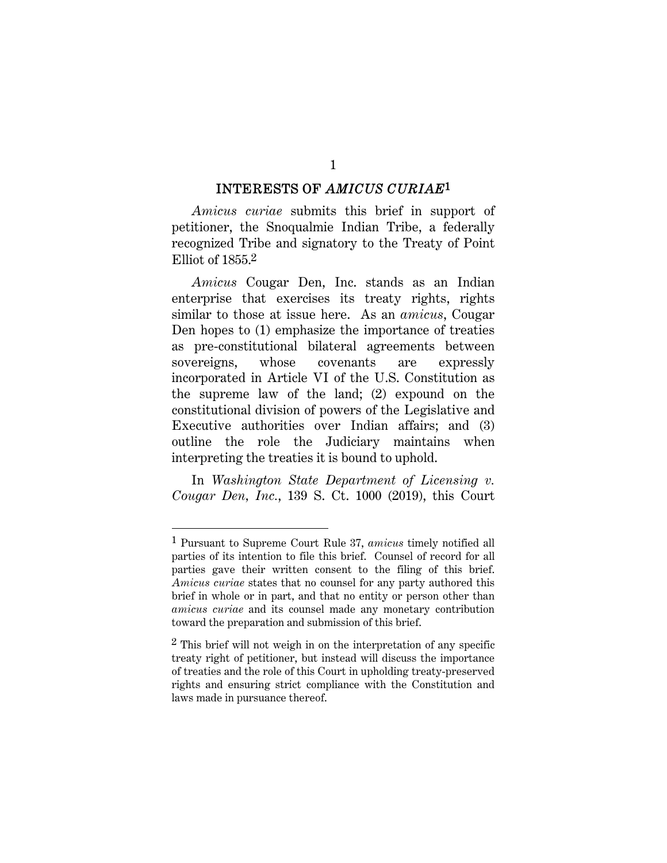#### INTERESTS OF *AMICUS CURIAE*1

*Amicus curiae* submits this brief in support of petitioner, the Snoqualmie Indian Tribe, a federally recognized Tribe and signatory to the Treaty of Point Elliot of 1855.2

*Amicus* Cougar Den, Inc. stands as an Indian enterprise that exercises its treaty rights, rights similar to those at issue here. As an *amicus*, Cougar Den hopes to (1) emphasize the importance of treaties as pre-constitutional bilateral agreements between sovereigns, whose covenants are expressly incorporated in Article VI of the U.S. Constitution as the supreme law of the land; (2) expound on the constitutional division of powers of the Legislative and Executive authorities over Indian affairs; and (3) outline the role the Judiciary maintains when interpreting the treaties it is bound to uphold.

In *Washington State Department of Licensing v. Cougar Den, Inc.*, 139 S. Ct. 1000 (2019), this Court

<sup>1</sup> Pursuant to Supreme Court Rule 37, *amicus* timely notified all parties of its intention to file this brief. Counsel of record for all parties gave their written consent to the filing of this brief. *Amicus curiae* states that no counsel for any party authored this brief in whole or in part, and that no entity or person other than *amicus curiae* and its counsel made any monetary contribution toward the preparation and submission of this brief.

<sup>2</sup> This brief will not weigh in on the interpretation of any specific treaty right of petitioner, but instead will discuss the importance of treaties and the role of this Court in upholding treaty-preserved rights and ensuring strict compliance with the Constitution and laws made in pursuance thereof.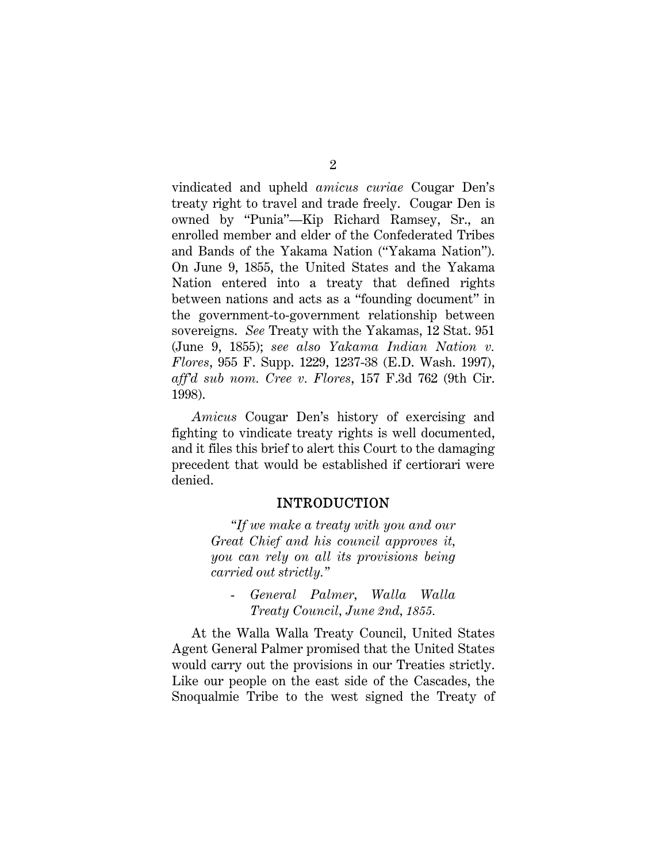vindicated and upheld *amicus curiae* Cougar Den's treaty right to travel and trade freely. Cougar Den is owned by "Punia"—Kip Richard Ramsey, Sr., an enrolled member and elder of the Confederated Tribes and Bands of the Yakama Nation ("Yakama Nation"). On June 9, 1855, the United States and the Yakama Nation entered into a treaty that defined rights between nations and acts as a "founding document" in the government-to-government relationship between sovereigns. *See* Treaty with the Yakamas, 12 Stat. 951 (June 9, 1855); *see also Yakama Indian Nation v. Flores*, 955 F. Supp. 1229, 1237-38 (E.D. Wash. 1997), *aff'd sub nom. Cree v. Flores*, 157 F.3d 762 (9th Cir. 1998).

*Amicus* Cougar Den's history of exercising and fighting to vindicate treaty rights is well documented, and it files this brief to alert this Court to the damaging precedent that would be established if certiorari were denied.

#### INTRODUCTION

*"If we make a treaty with you and our Great Chief and his council approves it, you can rely on all its provisions being carried out strictly."* 

- *General Palmer, Walla Walla Treaty Council, June 2nd, 1855.*

At the Walla Walla Treaty Council, United States Agent General Palmer promised that the United States would carry out the provisions in our Treaties strictly. Like our people on the east side of the Cascades, the Snoqualmie Tribe to the west signed the Treaty of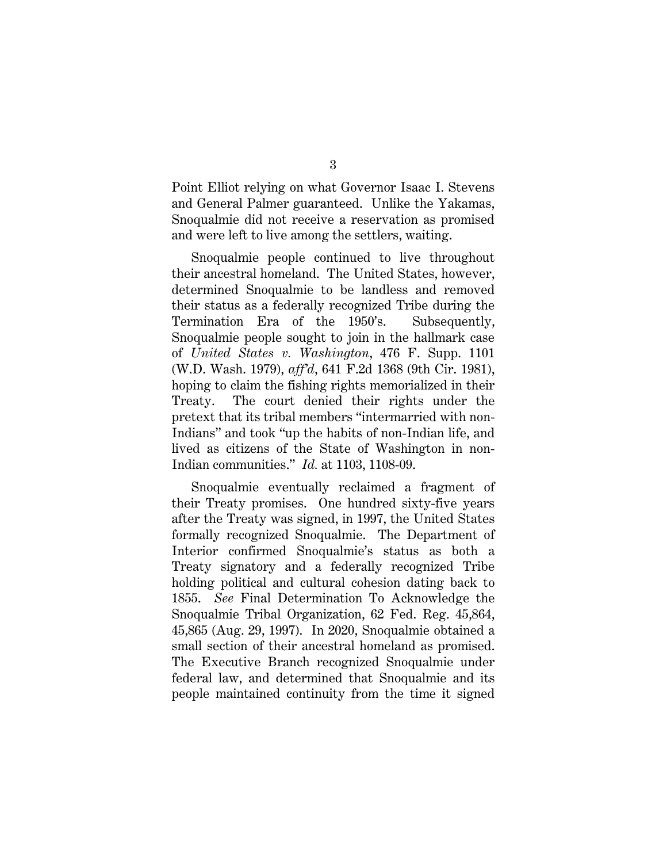Point Elliot relying on what Governor Isaac I. Stevens and General Palmer guaranteed. Unlike the Yakamas, Snoqualmie did not receive a reservation as promised and were left to live among the settlers, waiting.

Snoqualmie people continued to live throughout their ancestral homeland. The United States, however, determined Snoqualmie to be landless and removed their status as a federally recognized Tribe during the Termination Era of the 1950's. Subsequently, Snoqualmie people sought to join in the hallmark case of *United States v. Washington*, 476 F. Supp. 1101 (W.D. Wash. 1979), *aff'd*, 641 F.2d 1368 (9th Cir. 1981), hoping to claim the fishing rights memorialized in their Treaty. The court denied their rights under the pretext that its tribal members "intermarried with non-Indians" and took "up the habits of non-Indian life, and lived as citizens of the State of Washington in non-Indian communities." *Id.* at 1103, 1108-09.

Snoqualmie eventually reclaimed a fragment of their Treaty promises. One hundred sixty-five years after the Treaty was signed, in 1997, the United States formally recognized Snoqualmie. The Department of Interior confirmed Snoqualmie's status as both a Treaty signatory and a federally recognized Tribe holding political and cultural cohesion dating back to 1855. *See* Final Determination To Acknowledge the Snoqualmie Tribal Organization, 62 Fed. Reg. 45,864, 45,865 (Aug. 29, 1997). In 2020, Snoqualmie obtained a small section of their ancestral homeland as promised. The Executive Branch recognized Snoqualmie under federal law, and determined that Snoqualmie and its people maintained continuity from the time it signed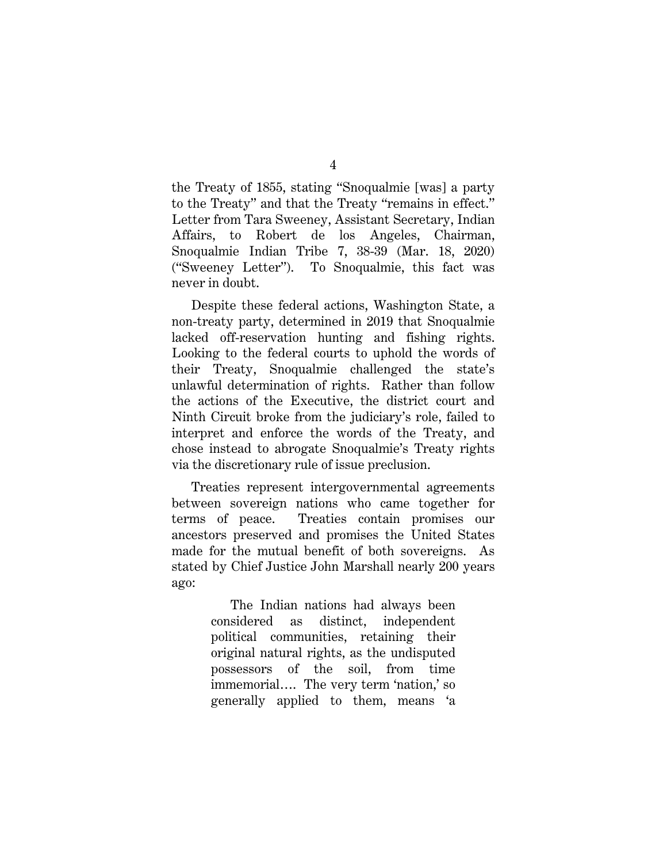the Treaty of 1855, stating "Snoqualmie [was] a party to the Treaty" and that the Treaty "remains in effect." Letter from Tara Sweeney, Assistant Secretary, Indian Affairs, to Robert de los Angeles, Chairman, Snoqualmie Indian Tribe 7, 38-39 (Mar. 18, 2020) ("Sweeney Letter"). To Snoqualmie, this fact was never in doubt.

Despite these federal actions, Washington State, a non-treaty party, determined in 2019 that Snoqualmie lacked off-reservation hunting and fishing rights. Looking to the federal courts to uphold the words of their Treaty, Snoqualmie challenged the state's unlawful determination of rights. Rather than follow the actions of the Executive, the district court and Ninth Circuit broke from the judiciary's role, failed to interpret and enforce the words of the Treaty, and chose instead to abrogate Snoqualmie's Treaty rights via the discretionary rule of issue preclusion.

Treaties represent intergovernmental agreements between sovereign nations who came together for terms of peace. Treaties contain promises our ancestors preserved and promises the United States made for the mutual benefit of both sovereigns. As stated by Chief Justice John Marshall nearly 200 years ago:

> The Indian nations had always been considered as distinct, independent political communities, retaining their original natural rights, as the undisputed possessors of the soil, from time immemorial…. The very term 'nation,' so generally applied to them, means 'a

4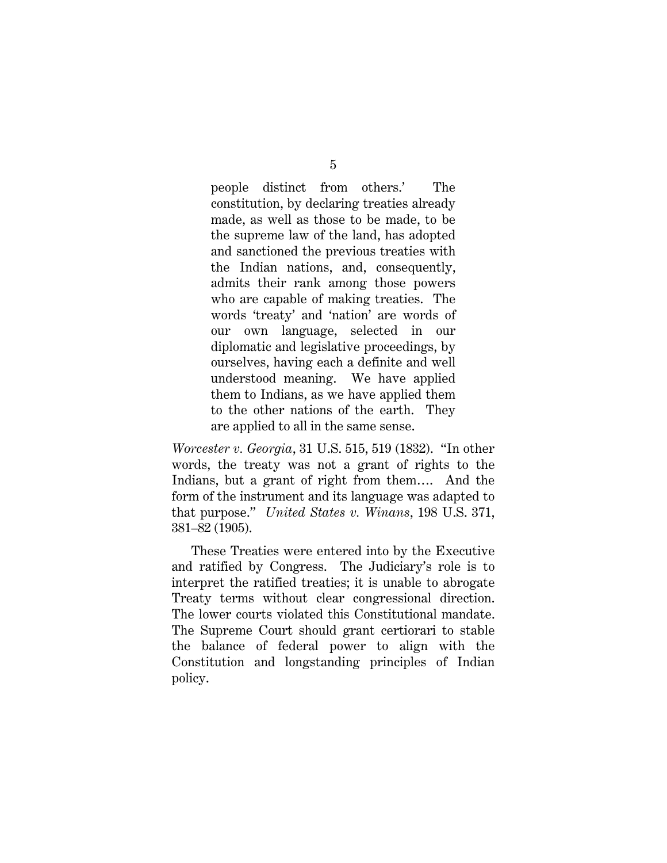5

people distinct from others.' The constitution, by declaring treaties already made, as well as those to be made, to be the supreme law of the land, has adopted and sanctioned the previous treaties with the Indian nations, and, consequently, admits their rank among those powers who are capable of making treaties. The words 'treaty' and 'nation' are words of our own language, selected in our diplomatic and legislative proceedings, by ourselves, having each a definite and well understood meaning. We have applied them to Indians, as we have applied them to the other nations of the earth. They are applied to all in the same sense.

*Worcester v. Georgia*, 31 U.S. 515, 519 (1832). "In other words, the treaty was not a grant of rights to the Indians, but a grant of right from them…. And the form of the instrument and its language was adapted to that purpose." *United States v. Winans*, 198 U.S. 371, 381–82 (1905).

These Treaties were entered into by the Executive and ratified by Congress. The Judiciary's role is to interpret the ratified treaties; it is unable to abrogate Treaty terms without clear congressional direction. The lower courts violated this Constitutional mandate. The Supreme Court should grant certiorari to stable the balance of federal power to align with the Constitution and longstanding principles of Indian policy.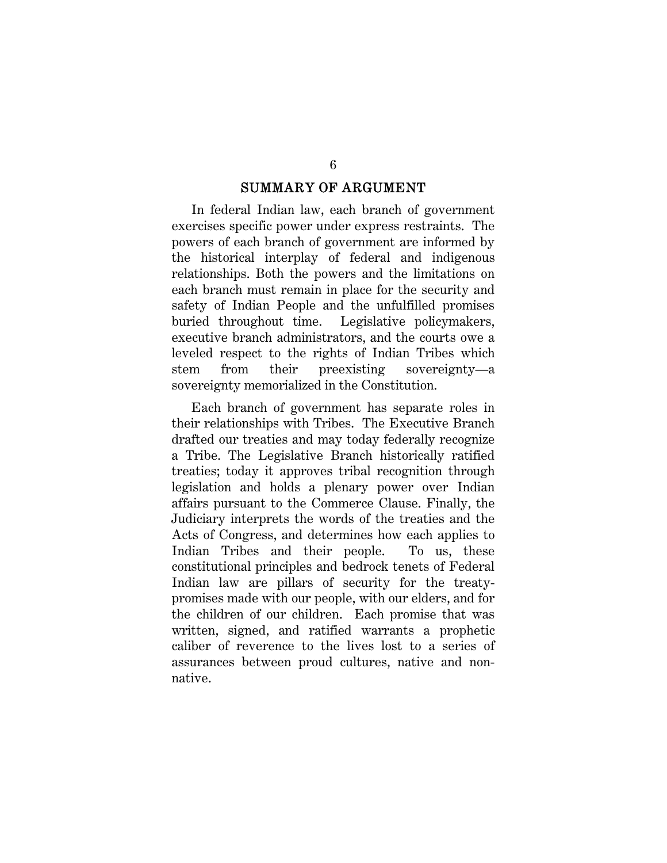#### SUMMARY OF ARGUMENT

In federal Indian law, each branch of government exercises specific power under express restraints. The powers of each branch of government are informed by the historical interplay of federal and indigenous relationships. Both the powers and the limitations on each branch must remain in place for the security and safety of Indian People and the unfulfilled promises buried throughout time. Legislative policymakers, executive branch administrators, and the courts owe a leveled respect to the rights of Indian Tribes which stem from their preexisting sovereignty—a sovereignty memorialized in the Constitution.

Each branch of government has separate roles in their relationships with Tribes. The Executive Branch drafted our treaties and may today federally recognize a Tribe. The Legislative Branch historically ratified treaties; today it approves tribal recognition through legislation and holds a plenary power over Indian affairs pursuant to the Commerce Clause. Finally, the Judiciary interprets the words of the treaties and the Acts of Congress, and determines how each applies to Indian Tribes and their people. To us, these constitutional principles and bedrock tenets of Federal Indian law are pillars of security for the treatypromises made with our people, with our elders, and for the children of our children. Each promise that was written, signed, and ratified warrants a prophetic caliber of reverence to the lives lost to a series of assurances between proud cultures, native and nonnative.

6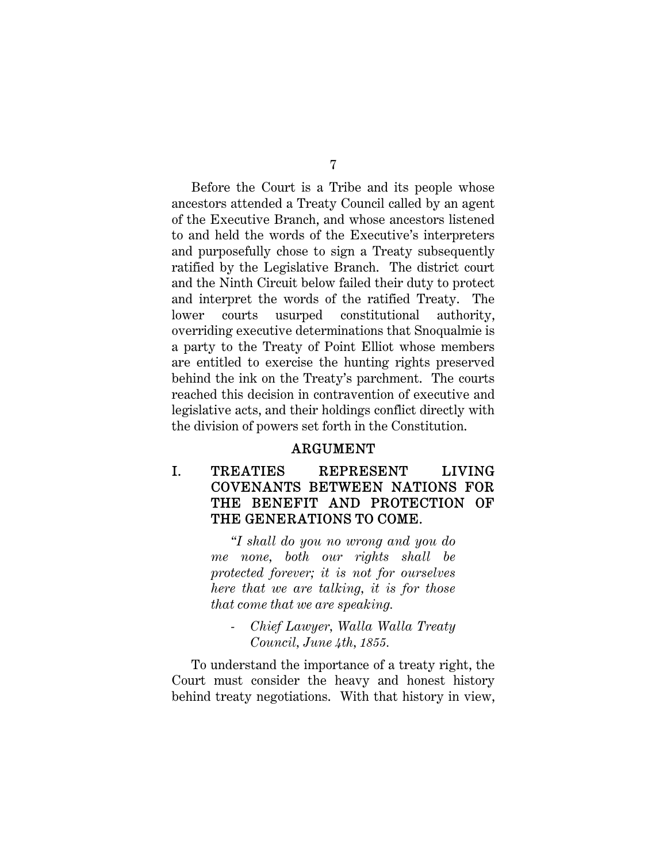Before the Court is a Tribe and its people whose ancestors attended a Treaty Council called by an agent of the Executive Branch, and whose ancestors listened to and held the words of the Executive's interpreters and purposefully chose to sign a Treaty subsequently ratified by the Legislative Branch. The district court and the Ninth Circuit below failed their duty to protect and interpret the words of the ratified Treaty. The lower courts usurped constitutional authority, overriding executive determinations that Snoqualmie is a party to the Treaty of Point Elliot whose members are entitled to exercise the hunting rights preserved behind the ink on the Treaty's parchment. The courts reached this decision in contravention of executive and legislative acts, and their holdings conflict directly with the division of powers set forth in the Constitution.

#### ARGUMENT

I. TREATIES REPRESENT LIVING COVENANTS BETWEEN NATIONS FOR THE BENEFIT AND PROTECTION OF THE GENERATIONS TO COME.

> *"I shall do you no wrong and you do me none, both our rights shall be protected forever; it is not for ourselves here that we are talking, it is for those that come that we are speaking.*

*- Chief Lawyer, Walla Walla Treaty Council, June 4th, 1855.*

To understand the importance of a treaty right, the Court must consider the heavy and honest history behind treaty negotiations. With that history in view,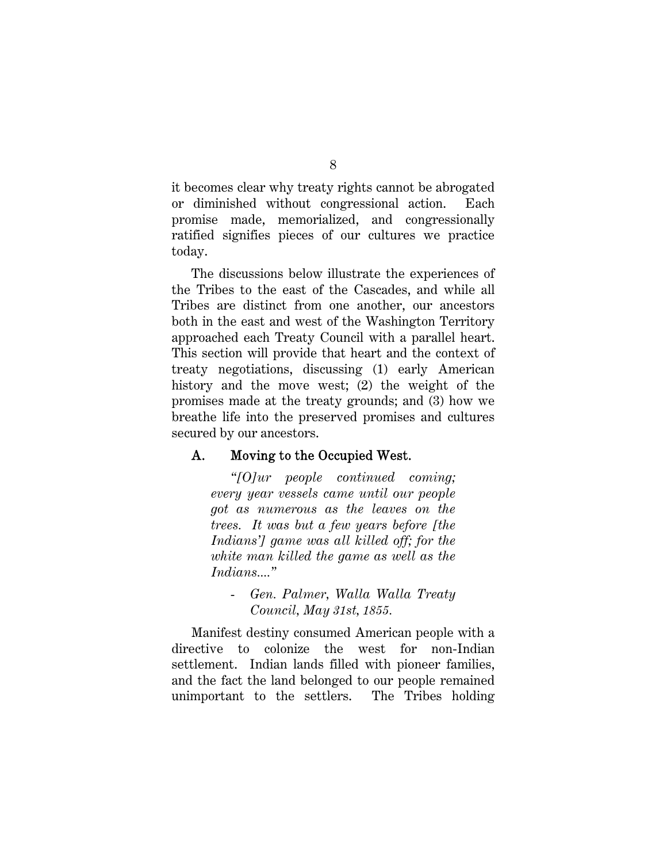it becomes clear why treaty rights cannot be abrogated or diminished without congressional action. Each promise made, memorialized, and congressionally ratified signifies pieces of our cultures we practice today.

The discussions below illustrate the experiences of the Tribes to the east of the Cascades, and while all Tribes are distinct from one another, our ancestors both in the east and west of the Washington Territory approached each Treaty Council with a parallel heart. This section will provide that heart and the context of treaty negotiations, discussing (1) early American history and the move west; (2) the weight of the promises made at the treaty grounds; and (3) how we breathe life into the preserved promises and cultures secured by our ancestors.

## A. Moving to the Occupied West.

*"[O]ur people continued coming; every year vessels came until our people got as numerous as the leaves on the trees. It was but a few years before [the Indians'] game was all killed off; for the white man killed the game as well as the Indians...."* 

- *Gen. Palmer, Walla Walla Treaty Council, May 31st, 1855.* 

Manifest destiny consumed American people with a directive to colonize the west for non-Indian settlement. Indian lands filled with pioneer families, and the fact the land belonged to our people remained unimportant to the settlers. The Tribes holding

8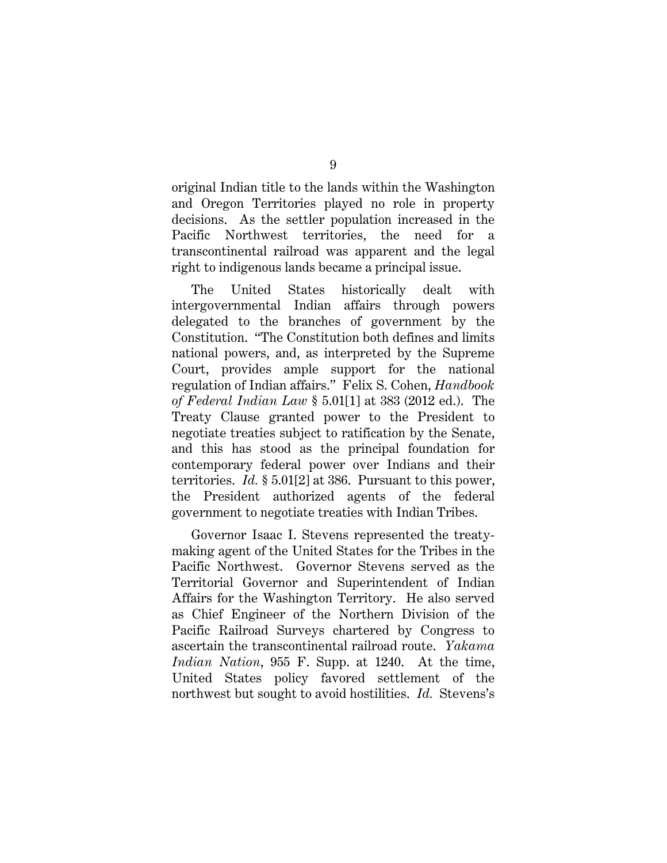original Indian title to the lands within the Washington and Oregon Territories played no role in property decisions. As the settler population increased in the Pacific Northwest territories, the need for a transcontinental railroad was apparent and the legal right to indigenous lands became a principal issue.

The United States historically dealt with intergovernmental Indian affairs through powers delegated to the branches of government by the Constitution. "The Constitution both defines and limits national powers, and, as interpreted by the Supreme Court, provides ample support for the national regulation of Indian affairs." Felix S. Cohen, *Handbook of Federal Indian Law* § 5.01[1] at 383 (2012 ed.). The Treaty Clause granted power to the President to negotiate treaties subject to ratification by the Senate, and this has stood as the principal foundation for contemporary federal power over Indians and their territories. *Id.* § 5.01[2] at 386. Pursuant to this power, the President authorized agents of the federal government to negotiate treaties with Indian Tribes.

Governor Isaac I. Stevens represented the treatymaking agent of the United States for the Tribes in the Pacific Northwest. Governor Stevens served as the Territorial Governor and Superintendent of Indian Affairs for the Washington Territory. He also served as Chief Engineer of the Northern Division of the Pacific Railroad Surveys chartered by Congress to ascertain the transcontinental railroad route. *Yakama Indian Nation*, 955 F. Supp. at 1240. At the time, United States policy favored settlement of the northwest but sought to avoid hostilities. *Id.* Stevens's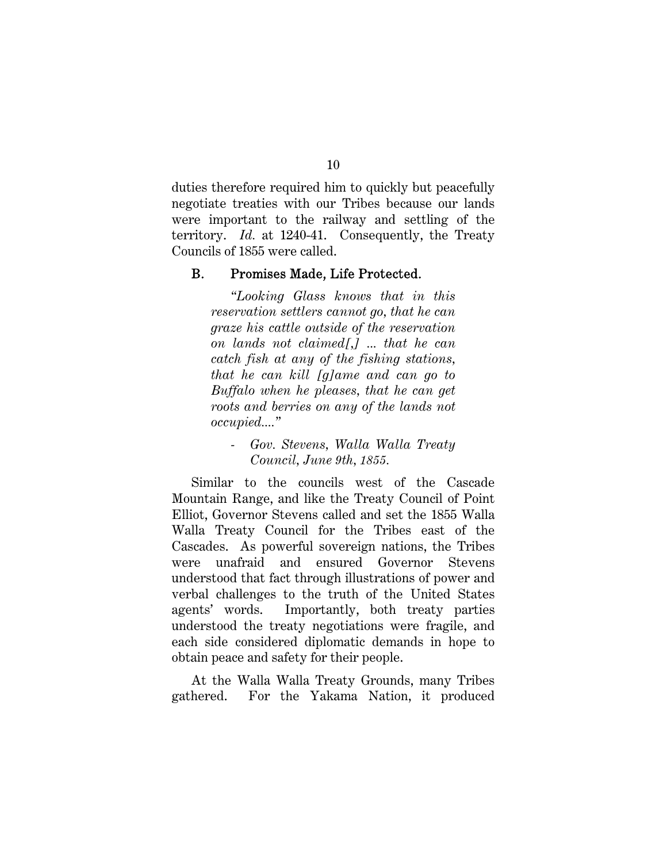duties therefore required him to quickly but peacefully negotiate treaties with our Tribes because our lands were important to the railway and settling of the territory. *Id.* at 1240-41. Consequently, the Treaty Councils of 1855 were called.

#### B. Promises Made, Life Protected.

*"Looking Glass knows that in this reservation settlers cannot go, that he can graze his cattle outside of the reservation on lands not claimed[,] ... that he can catch fish at any of the fishing stations, that he can kill [g]ame and can go to Buffalo when he pleases, that he can get roots and berries on any of the lands not occupied...."* 

*- Gov. Stevens, Walla Walla Treaty Council, June 9th, 1855.*

Similar to the councils west of the Cascade Mountain Range, and like the Treaty Council of Point Elliot, Governor Stevens called and set the 1855 Walla Walla Treaty Council for the Tribes east of the Cascades. As powerful sovereign nations, the Tribes were unafraid and ensured Governor Stevens understood that fact through illustrations of power and verbal challenges to the truth of the United States agents' words. Importantly, both treaty parties understood the treaty negotiations were fragile, and each side considered diplomatic demands in hope to obtain peace and safety for their people.

At the Walla Walla Treaty Grounds, many Tribes gathered. For the Yakama Nation, it produced

10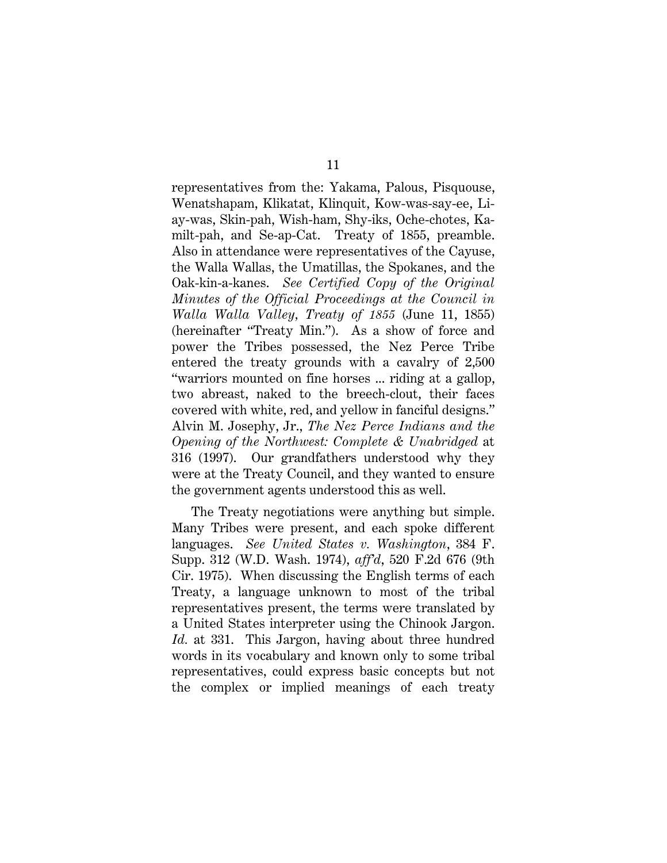representatives from the: Yakama, Palous, Pisquouse, Wenatshapam, Klikatat, Klinquit, Kow-was-say-ee, Liay-was, Skin-pah, Wish-ham, Shy-iks, Oche-chotes, Kamilt-pah, and Se-ap-Cat. Treaty of 1855, preamble. Also in attendance were representatives of the Cayuse, the Walla Wallas, the Umatillas, the Spokanes, and the Oak-kin-a-kanes. *See Certified Copy of the Original Minutes of the Official Proceedings at the Council in Walla Walla Valley, Treaty of 1855* (June 11, 1855) (hereinafter "Treaty Min."). As a show of force and power the Tribes possessed, the Nez Perce Tribe entered the treaty grounds with a cavalry of 2,500 "warriors mounted on fine horses ... riding at a gallop, two abreast, naked to the breech-clout, their faces covered with white, red, and yellow in fanciful designs." Alvin M. Josephy, Jr., *The Nez Perce Indians and the Opening of the Northwest: Complete & Unabridged* at 316 (1997). Our grandfathers understood why they were at the Treaty Council, and they wanted to ensure the government agents understood this as well.

The Treaty negotiations were anything but simple. Many Tribes were present, and each spoke different languages. *See United States v. Washington*, 384 F. Supp. 312 (W.D. Wash. 1974), *aff'd*, 520 F.2d 676 (9th Cir. 1975). When discussing the English terms of each Treaty, a language unknown to most of the tribal representatives present, the terms were translated by a United States interpreter using the Chinook Jargon. *Id.* at 331. This Jargon, having about three hundred words in its vocabulary and known only to some tribal representatives, could express basic concepts but not the complex or implied meanings of each treaty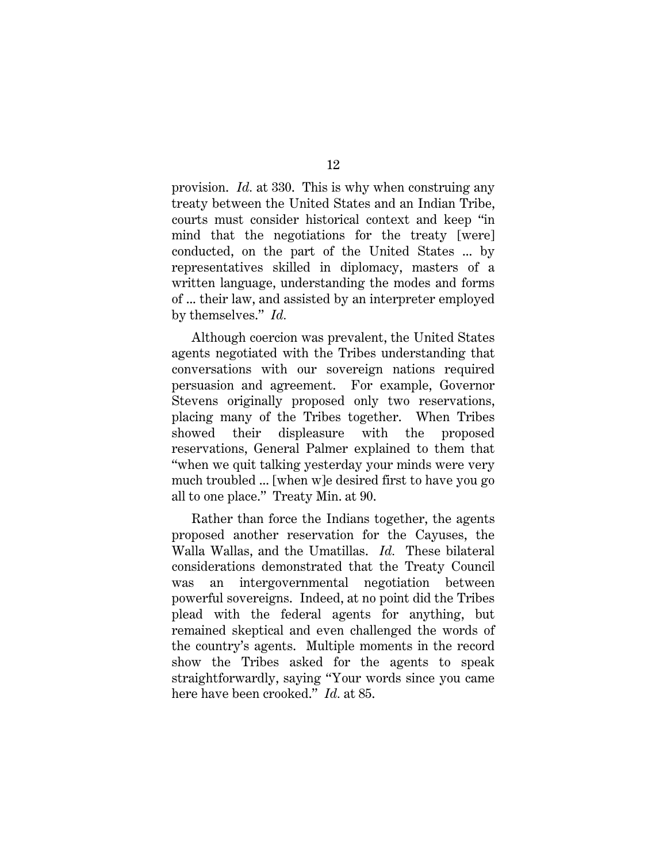provision. *Id.* at 330. This is why when construing any treaty between the United States and an Indian Tribe, courts must consider historical context and keep "in mind that the negotiations for the treaty [were] conducted, on the part of the United States ... by representatives skilled in diplomacy, masters of a written language, understanding the modes and forms of ... their law, and assisted by an interpreter employed by themselves." *Id.*

Although coercion was prevalent, the United States agents negotiated with the Tribes understanding that conversations with our sovereign nations required persuasion and agreement. For example, Governor Stevens originally proposed only two reservations, placing many of the Tribes together. When Tribes showed their displeasure with the proposed reservations, General Palmer explained to them that "when we quit talking yesterday your minds were very much troubled ... [when w]e desired first to have you go all to one place." Treaty Min. at 90.

Rather than force the Indians together, the agents proposed another reservation for the Cayuses, the Walla Wallas, and the Umatillas. *Id.* These bilateral considerations demonstrated that the Treaty Council was an intergovernmental negotiation between powerful sovereigns. Indeed, at no point did the Tribes plead with the federal agents for anything, but remained skeptical and even challenged the words of the country's agents. Multiple moments in the record show the Tribes asked for the agents to speak straightforwardly, saying "Your words since you came here have been crooked." *Id.* at 85.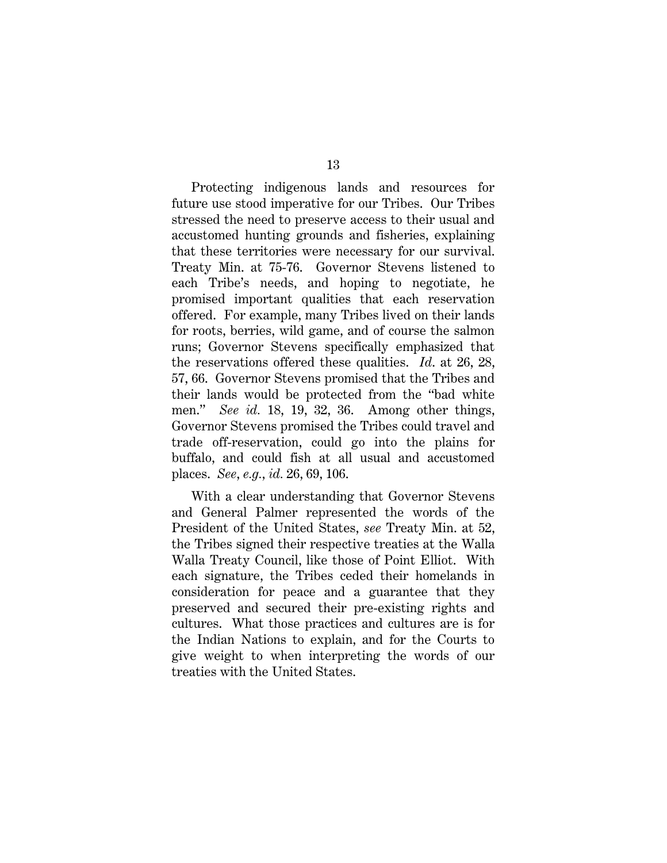Protecting indigenous lands and resources for future use stood imperative for our Tribes. Our Tribes stressed the need to preserve access to their usual and accustomed hunting grounds and fisheries, explaining that these territories were necessary for our survival. Treaty Min. at 75-76. Governor Stevens listened to each Tribe's needs, and hoping to negotiate, he promised important qualities that each reservation offered. For example, many Tribes lived on their lands for roots, berries, wild game, and of course the salmon runs; Governor Stevens specifically emphasized that the reservations offered these qualities. *Id*. at 26, 28, 57, 66. Governor Stevens promised that the Tribes and their lands would be protected from the "bad white men." *See id.* 18, 19, 32, 36. Among other things, Governor Stevens promised the Tribes could travel and trade off-reservation, could go into the plains for buffalo, and could fish at all usual and accustomed places. *See*, *e.g.*, *id.* 26, 69, 106.

With a clear understanding that Governor Stevens and General Palmer represented the words of the President of the United States, *see* Treaty Min. at 52, the Tribes signed their respective treaties at the Walla Walla Treaty Council, like those of Point Elliot. With each signature, the Tribes ceded their homelands in consideration for peace and a guarantee that they preserved and secured their pre-existing rights and cultures. What those practices and cultures are is for the Indian Nations to explain, and for the Courts to give weight to when interpreting the words of our treaties with the United States.

13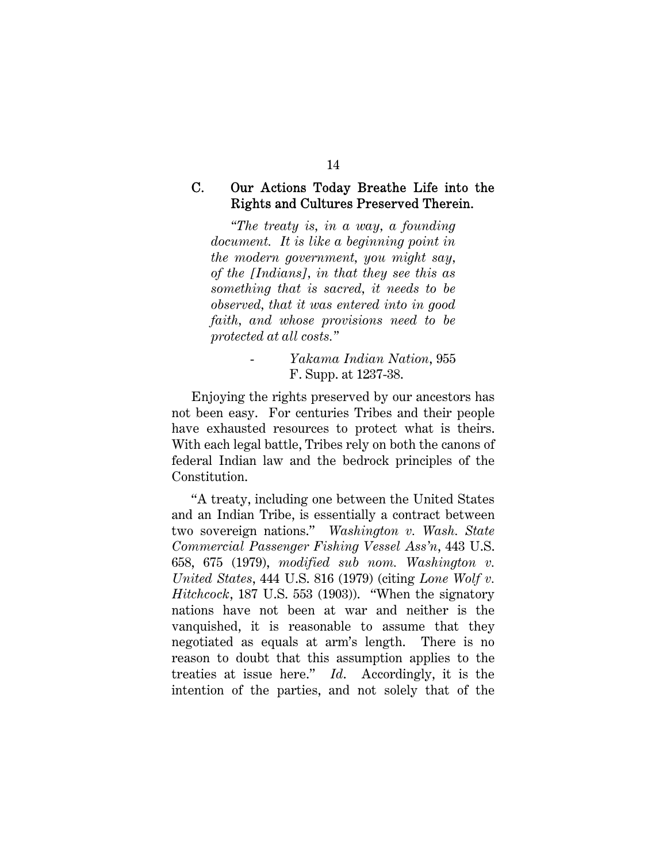## C. Our Actions Today Breathe Life into the Rights and Cultures Preserved Therein.

*"The treaty is, in a way, a founding document. It is like a beginning point in the modern government, you might say, of the [Indians], in that they see this as something that is sacred, it needs to be observed, that it was entered into in good faith, and whose provisions need to be protected at all costs."* 

## - *Yakama Indian Nation*, 955 F. Supp. at 1237-38.

Enjoying the rights preserved by our ancestors has not been easy. For centuries Tribes and their people have exhausted resources to protect what is theirs. With each legal battle, Tribes rely on both the canons of federal Indian law and the bedrock principles of the Constitution.

"A treaty, including one between the United States and an Indian Tribe, is essentially a contract between two sovereign nations." *Washington v. Wash. State Commercial Passenger Fishing Vessel Ass'n*, 443 U.S. 658, 675 (1979), *modified sub nom. Washington v. United States*, 444 U.S. 816 (1979) (citing *Lone Wolf v. Hitchcock*, 187 U.S. 553 (1903)). "When the signatory nations have not been at war and neither is the vanquished, it is reasonable to assume that they negotiated as equals at arm's length. There is no reason to doubt that this assumption applies to the treaties at issue here." *Id*. Accordingly, it is the intention of the parties, and not solely that of the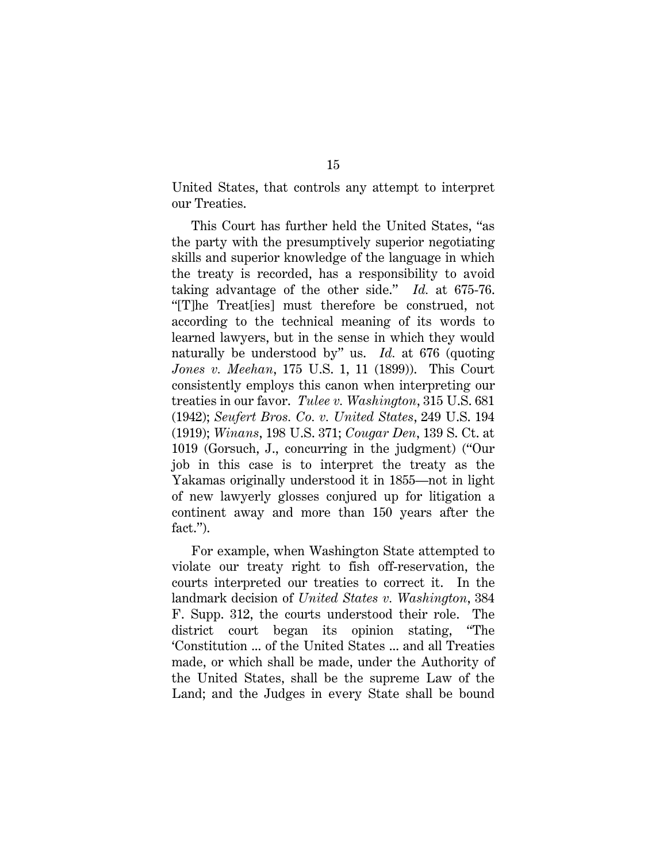United States, that controls any attempt to interpret our Treaties.

This Court has further held the United States, "as the party with the presumptively superior negotiating skills and superior knowledge of the language in which the treaty is recorded, has a responsibility to avoid taking advantage of the other side." *Id.* at 675-76. "[T]he Treat[ies] must therefore be construed, not according to the technical meaning of its words to learned lawyers, but in the sense in which they would naturally be understood by" us. *Id.* at 676 (quoting *Jones v. Meehan*, 175 U.S. 1, 11 (1899)). This Court consistently employs this canon when interpreting our treaties in our favor. *Tulee v. Washington*, 315 U.S. 681 (1942); *Seufert Bros. Co. v. United States*, 249 U.S. 194 (1919); *Winans*, 198 U.S. 371; *Cougar Den*, 139 S. Ct. at 1019 (Gorsuch, J., concurring in the judgment) ("Our job in this case is to interpret the treaty as the Yakamas originally understood it in 1855—not in light of new lawyerly glosses conjured up for litigation a continent away and more than 150 years after the fact.").

For example, when Washington State attempted to violate our treaty right to fish off-reservation, the courts interpreted our treaties to correct it. In the landmark decision of *United States v. Washington*, 384 F. Supp. 312, the courts understood their role. The district court began its opinion stating, "The 'Constitution ... of the United States ... and all Treaties made, or which shall be made, under the Authority of the United States, shall be the supreme Law of the Land; and the Judges in every State shall be bound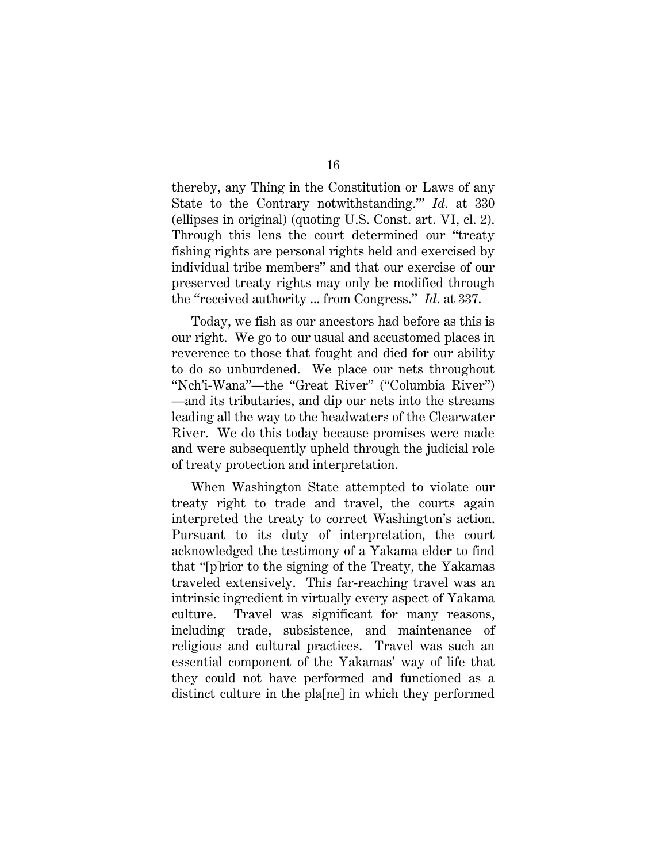thereby, any Thing in the Constitution or Laws of any State to the Contrary notwithstanding.'" *Id.* at 330 (ellipses in original) (quoting U.S. Const. art. VI, cl. 2). Through this lens the court determined our "treaty fishing rights are personal rights held and exercised by individual tribe members" and that our exercise of our preserved treaty rights may only be modified through the "received authority ... from Congress." *Id.* at 337.

Today, we fish as our ancestors had before as this is our right. We go to our usual and accustomed places in reverence to those that fought and died for our ability to do so unburdened. We place our nets throughout "Nch'i-Wana"—the "Great River" ("Columbia River") —and its tributaries, and dip our nets into the streams leading all the way to the headwaters of the Clearwater River. We do this today because promises were made and were subsequently upheld through the judicial role of treaty protection and interpretation.

When Washington State attempted to violate our treaty right to trade and travel, the courts again interpreted the treaty to correct Washington's action. Pursuant to its duty of interpretation, the court acknowledged the testimony of a Yakama elder to find that "[p]rior to the signing of the Treaty, the Yakamas traveled extensively. This far-reaching travel was an intrinsic ingredient in virtually every aspect of Yakama culture. Travel was significant for many reasons, including trade, subsistence, and maintenance of religious and cultural practices. Travel was such an essential component of the Yakamas' way of life that they could not have performed and functioned as a distinct culture in the pla[ne] in which they performed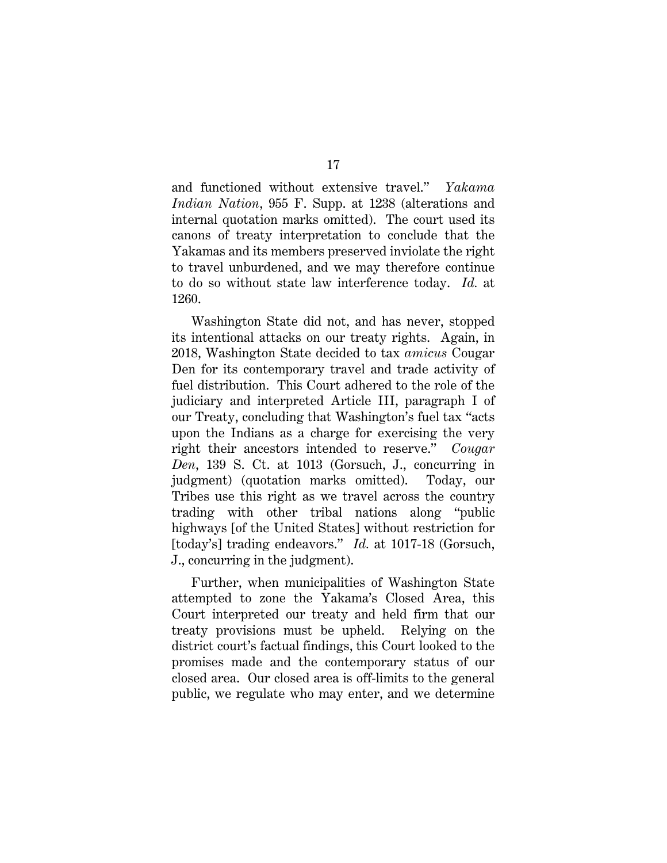and functioned without extensive travel." *Yakama Indian Nation*, 955 F. Supp. at 1238 (alterations and internal quotation marks omitted). The court used its canons of treaty interpretation to conclude that the Yakamas and its members preserved inviolate the right to travel unburdened, and we may therefore continue to do so without state law interference today. *Id.* at 1260.

Washington State did not, and has never, stopped its intentional attacks on our treaty rights. Again, in 2018, Washington State decided to tax *amicus* Cougar Den for its contemporary travel and trade activity of fuel distribution. This Court adhered to the role of the judiciary and interpreted Article III, paragraph I of our Treaty, concluding that Washington's fuel tax "acts upon the Indians as a charge for exercising the very right their ancestors intended to reserve." *Cougar Den*, 139 S. Ct. at 1013 (Gorsuch, J., concurring in judgment) (quotation marks omitted). Today, our Tribes use this right as we travel across the country trading with other tribal nations along "public highways [of the United States] without restriction for [today's] trading endeavors." *Id.* at 1017-18 (Gorsuch, J., concurring in the judgment).

Further, when municipalities of Washington State attempted to zone the Yakama's Closed Area, this Court interpreted our treaty and held firm that our treaty provisions must be upheld. Relying on the district court's factual findings, this Court looked to the promises made and the contemporary status of our closed area. Our closed area is off-limits to the general public, we regulate who may enter, and we determine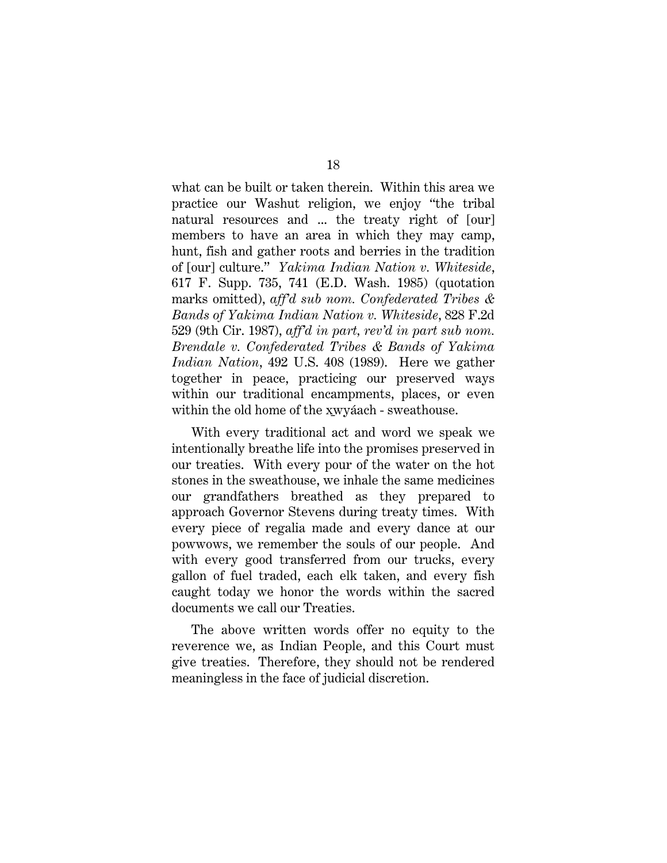what can be built or taken therein. Within this area we practice our Washut religion, we enjoy "the tribal natural resources and ... the treaty right of [our] members to have an area in which they may camp, hunt, fish and gather roots and berries in the tradition of [our] culture." *Yakima Indian Nation v. Whiteside*, 617 F. Supp. 735, 741 (E.D. Wash. 1985) (quotation marks omitted), *aff'd sub nom. Confederated Tribes & Bands of Yakima Indian Nation v. Whiteside*, 828 F.2d 529 (9th Cir. 1987), *aff'd in part, rev'd in part sub nom. Brendale v. Confederated Tribes & Bands of Yakima Indian Nation*, 492 U.S. 408 (1989). Here we gather together in peace, practicing our preserved ways within our traditional encampments, places, or even within the old home of the xwyáach - sweathouse.

With every traditional act and word we speak we intentionally breathe life into the promises preserved in our treaties. With every pour of the water on the hot stones in the sweathouse, we inhale the same medicines our grandfathers breathed as they prepared to approach Governor Stevens during treaty times. With every piece of regalia made and every dance at our powwows, we remember the souls of our people. And with every good transferred from our trucks, every gallon of fuel traded, each elk taken, and every fish caught today we honor the words within the sacred documents we call our Treaties.

The above written words offer no equity to the reverence we, as Indian People, and this Court must give treaties. Therefore, they should not be rendered meaningless in the face of judicial discretion.

18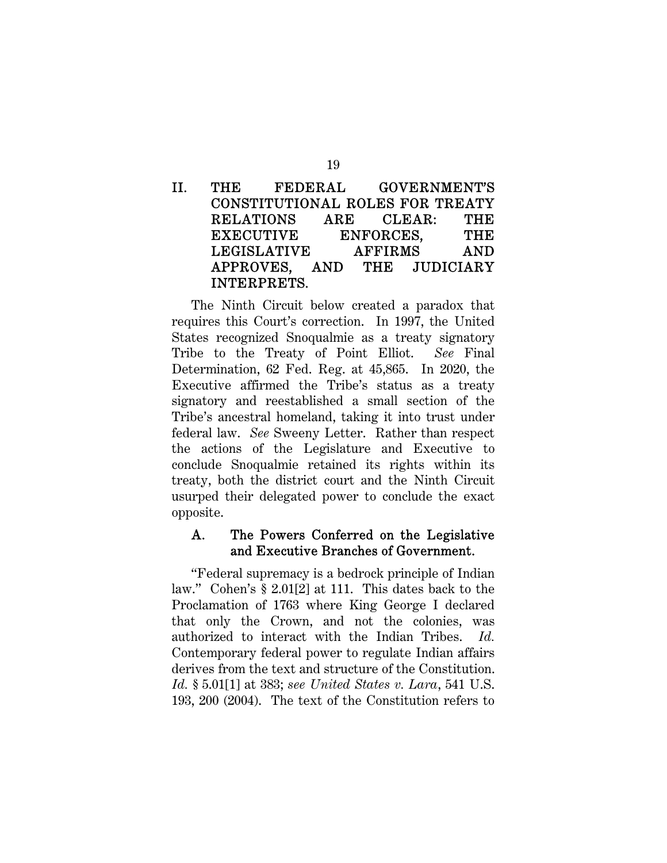## II. THE FEDERAL GOVERNMENT'S CONSTITUTIONAL ROLES FOR TREATY RELATIONS ARE CLEAR: THE EXECUTIVE ENFORCES, THE LEGISLATIVE AFFIRMS AND APPROVES, AND THE JUDICIARY INTERPRETS.

The Ninth Circuit below created a paradox that requires this Court's correction. In 1997, the United States recognized Snoqualmie as a treaty signatory Tribe to the Treaty of Point Elliot. *See* Final Determination, 62 Fed. Reg. at 45,865. In 2020, the Executive affirmed the Tribe's status as a treaty signatory and reestablished a small section of the Tribe's ancestral homeland, taking it into trust under federal law. *See* Sweeny Letter. Rather than respect the actions of the Legislature and Executive to conclude Snoqualmie retained its rights within its treaty, both the district court and the Ninth Circuit usurped their delegated power to conclude the exact opposite.

## A. The Powers Conferred on the Legislative and Executive Branches of Government.

"Federal supremacy is a bedrock principle of Indian law." Cohen's § 2.01[2] at 111. This dates back to the Proclamation of 1763 where King George I declared that only the Crown, and not the colonies, was authorized to interact with the Indian Tribes. *Id.* Contemporary federal power to regulate Indian affairs derives from the text and structure of the Constitution. *Id.* § 5.01[1] at 383; *see United States v. Lara*, 541 U.S. 193, 200 (2004). The text of the Constitution refers to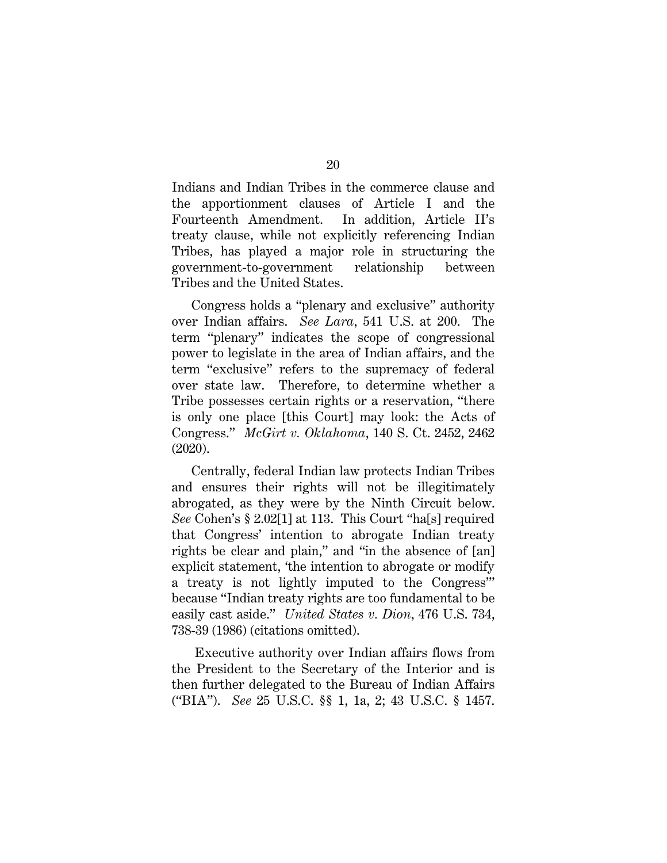Indians and Indian Tribes in the commerce clause and the apportionment clauses of Article I and the Fourteenth Amendment. In addition, Article II's treaty clause, while not explicitly referencing Indian Tribes, has played a major role in structuring the government-to-government relationship between Tribes and the United States.

Congress holds a "plenary and exclusive" authority over Indian affairs. *See Lara*, 541 U.S. at 200. The term "plenary" indicates the scope of congressional power to legislate in the area of Indian affairs, and the term "exclusive" refers to the supremacy of federal over state law. Therefore, to determine whether a Tribe possesses certain rights or a reservation, "there is only one place [this Court] may look: the Acts of Congress." *McGirt v. Oklahoma*, 140 S. Ct. 2452, 2462 (2020).

Centrally, federal Indian law protects Indian Tribes and ensures their rights will not be illegitimately abrogated, as they were by the Ninth Circuit below. *See* Cohen's § 2.02[1] at 113. This Court "ha[s] required that Congress' intention to abrogate Indian treaty rights be clear and plain," and "in the absence of [an] explicit statement, 'the intention to abrogate or modify a treaty is not lightly imputed to the Congress'" because "Indian treaty rights are too fundamental to be easily cast aside." *United States v. Dion*, 476 U.S. 734, 738-39 (1986) (citations omitted).

 Executive authority over Indian affairs flows from the President to the Secretary of the Interior and is then further delegated to the Bureau of Indian Affairs ("BIA"). *See* 25 U.S.C. §§ 1, 1a, 2; 43 U.S.C. § 1457.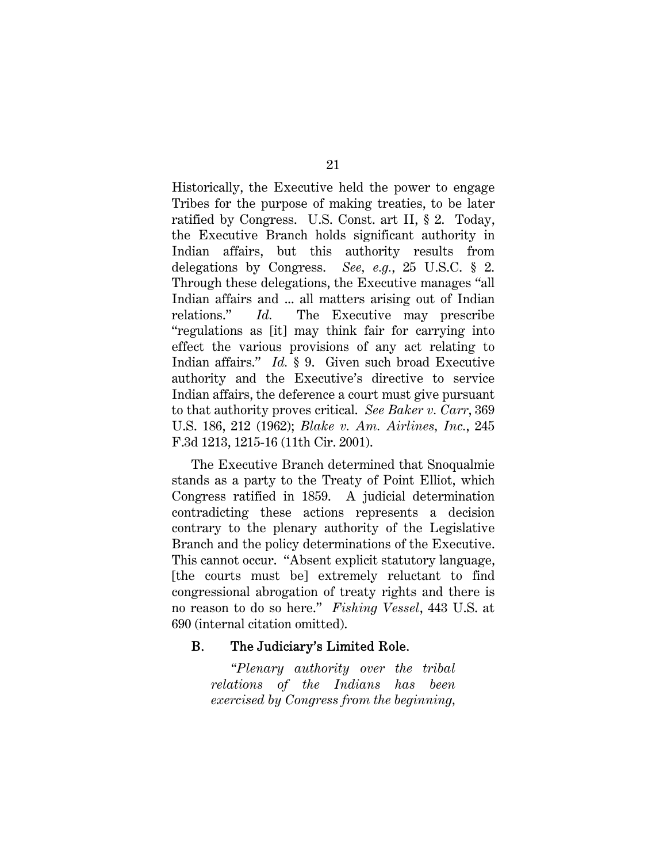Historically, the Executive held the power to engage Tribes for the purpose of making treaties, to be later ratified by Congress. U.S. Const. art II, § 2. Today, the Executive Branch holds significant authority in Indian affairs, but this authority results from delegations by Congress. *See, e.g.*, 25 U.S.C. § 2. Through these delegations, the Executive manages "all Indian affairs and ... all matters arising out of Indian relations." *Id.* The Executive may prescribe "regulations as [it] may think fair for carrying into effect the various provisions of any act relating to Indian affairs." *Id.* § 9. Given such broad Executive authority and the Executive's directive to service Indian affairs, the deference a court must give pursuant to that authority proves critical. *See Baker v. Carr*, 369 U.S. 186, 212 (1962); *Blake v. Am. Airlines, Inc.*, 245 F.3d 1213, 1215-16 (11th Cir. 2001).

The Executive Branch determined that Snoqualmie stands as a party to the Treaty of Point Elliot, which Congress ratified in 1859. A judicial determination contradicting these actions represents a decision contrary to the plenary authority of the Legislative Branch and the policy determinations of the Executive. This cannot occur. "Absent explicit statutory language, [the courts must be] extremely reluctant to find congressional abrogation of treaty rights and there is no reason to do so here." *Fishing Vessel*, 443 U.S. at 690 (internal citation omitted).

## B. The Judiciary's Limited Role.

*"Plenary authority over the tribal relations of the Indians has been exercised by Congress from the beginning,*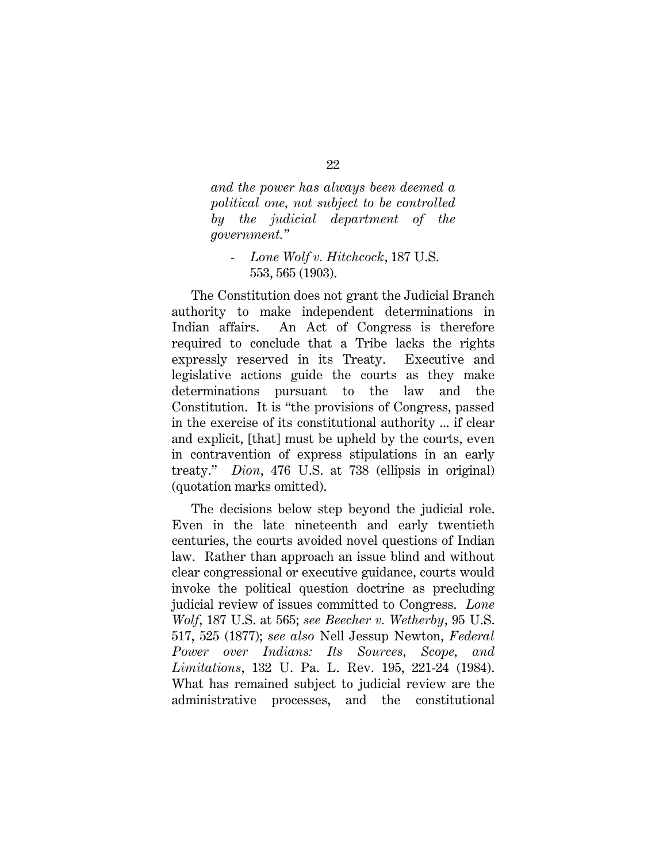*and the power has always been deemed a political one, not subject to be controlled by the judicial department of the government."*

### - *Lone Wolf v. Hitchcock*, 187 U.S. 553, 565 (1903).

The Constitution does not grant the Judicial Branch authority to make independent determinations in Indian affairs. An Act of Congress is therefore required to conclude that a Tribe lacks the rights expressly reserved in its Treaty. Executive and legislative actions guide the courts as they make determinations pursuant to the law and the Constitution. It is "the provisions of Congress, passed in the exercise of its constitutional authority ... if clear and explicit, [that] must be upheld by the courts, even in contravention of express stipulations in an early treaty." *Dion*, 476 U.S. at 738 (ellipsis in original) (quotation marks omitted).

The decisions below step beyond the judicial role. Even in the late nineteenth and early twentieth centuries, the courts avoided novel questions of Indian law. Rather than approach an issue blind and without clear congressional or executive guidance, courts would invoke the political question doctrine as precluding judicial review of issues committed to Congress. *Lone Wolf*, 187 U.S. at 565; *see Beecher v. Wetherby*, 95 U.S. 517, 525 (1877); *see also* Nell Jessup Newton, *Federal Power over Indians: Its Sources, Scope, and Limitations*, 132 U. Pa. L. Rev. 195, 221-24 (1984). What has remained subject to judicial review are the administrative processes, and the constitutional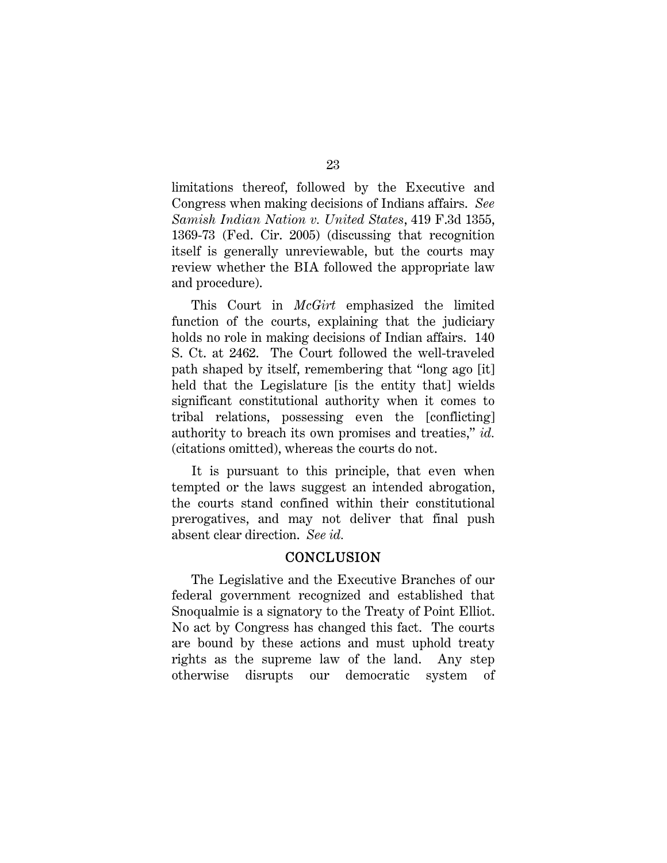limitations thereof, followed by the Executive and Congress when making decisions of Indians affairs. *See Samish Indian Nation v. United States*, 419 F.3d 1355, 1369-73 (Fed. Cir. 2005) (discussing that recognition itself is generally unreviewable, but the courts may review whether the BIA followed the appropriate law and procedure).

This Court in *McGirt* emphasized the limited function of the courts, explaining that the judiciary holds no role in making decisions of Indian affairs. 140 S. Ct. at 2462. The Court followed the well-traveled path shaped by itself, remembering that "long ago [it] held that the Legislature [is the entity that] wields significant constitutional authority when it comes to tribal relations, possessing even the [conflicting] authority to breach its own promises and treaties," *id.* (citations omitted), whereas the courts do not.

It is pursuant to this principle, that even when tempted or the laws suggest an intended abrogation, the courts stand confined within their constitutional prerogatives, and may not deliver that final push absent clear direction. *See id.*

### **CONCLUSION**

The Legislative and the Executive Branches of our federal government recognized and established that Snoqualmie is a signatory to the Treaty of Point Elliot. No act by Congress has changed this fact. The courts are bound by these actions and must uphold treaty rights as the supreme law of the land. Any step otherwise disrupts our democratic system of